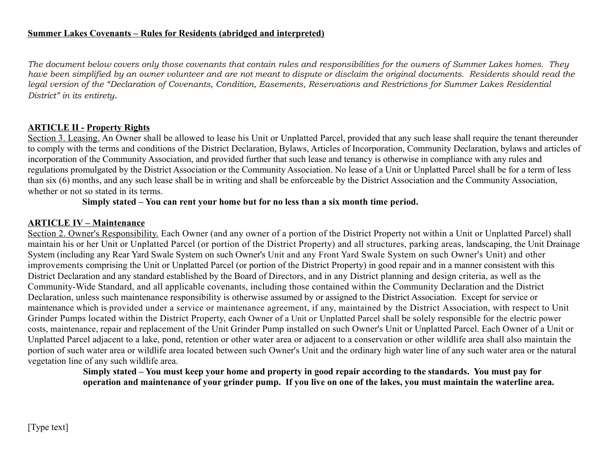*The document below covers only those covenants that contain rules and responsibilities for the owners of Summer Lakes homes. They have been simplified by an owner volunteer and are not meant to dispute or disclaim the original documents. Residents should read the legal version of the "Declaration of Covenants, Condition, Easements, Reservations and Restrictions for Summer Lakes Residential District" in its entirety.*

## **ARTICLE II - Property Rights**

Section 3. Leasing. An Owner shall be allowed to lease his Unit or Unplatted Parcel, provided that any such lease shall require the tenant thereunder to comply with the terms and conditions of the District Declaration, Bylaws, Articles of Incorporation, Community Declaration, bylaws and articles of incorporation of the Community Association, and provided further that such lease and tenancy is otherwise in compliance with any rules and regulations promulgated by the District Association or the Community Association. No lease of a Unit or Unplatted Parcel shall be for a term of less than six (6) months, and any such lease shall be in writing and shall be enforceable by the District Association and the Community Association, whether or not so stated in its terms.

**Simply stated – You can rent your home but for no less than a six month time period.**

#### **ARTICLE IV – Maintenance**

Section 2. Owner's Responsibility. Each Owner (and any owner of a portion of the District Property not within a Unit or Unplatted Parcel) shall maintain his or her Unit or Unplatted Parcel (or portion of the District Property) and all structures, parking areas, landscaping, the Unit Drainage System (including any Rear Yard Swale System on such Owner's Unit and any Front Yard Swale System on such Owner's Unit) and other improvements comprising the Unit or Unplatted Parcel (or portion of the District Property) in good repair and in a manner consistent with this District Declaration and any standard established by the Board of Directors, and in any District planning and design criteria, as well as the Community-Wide Standard, and all applicable covenants, including those contained within the Community Declaration and the District Declaration, unless such maintenance responsibility is otherwise assumed by or assigned to the District Association. Except for service or maintenance which is provided under a service or maintenance agreement, if any, maintained by the District Association, with respect to Unit Grinder Pumps located within the District Property, each Owner of a Unit or Unplatted Parcel shall be solely responsible for the electric power costs, maintenance, repair and replacement of the Unit Grinder Pump installed on such Owner's Unit or Unplatted Parcel. Each Owner of a Unit or Unplatted Parcel adjacent to a lake, pond, retention or other water area or adjacent to a conservation or other wildlife area shall also maintain the portion of such water area or wildlife area located between such Owner's Unit and the ordinary high water line of any such water area or the natural vegetation line of any such wildlife area.

**Simply stated – You must keep your home and property in good repair according to the standards. You must pay for operation and maintenance of your grinder pump. If you live on one of the lakes, you must maintain the waterline area.**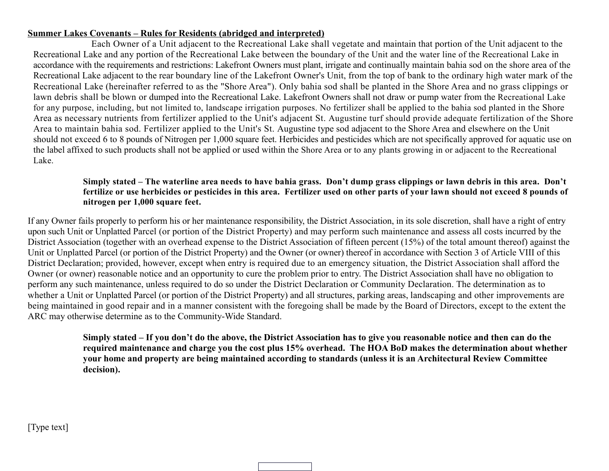Each Owner of a Unit adjacent to the Recreational Lake shall vegetate and maintain that portion of the Unit adjacent to the Recreational Lake and any portion of the Recreational Lake between the boundary of the Unit and the water line of the Recreational Lake in accordance with the requirements and restrictions: Lakefront Owners must plant, irrigate and continually maintain bahia sod on the shore area of the Recreational Lake adjacent to the rear boundary line of the Lakefront Owner's Unit, from the top of bank to the ordinary high water mark of the Recreational Lake (hereinafter referred to as the "Shore Area"). Only bahia sod shall be planted in the Shore Area and no grass clippings or lawn debris shall be blown or dumped into the Recreational Lake. Lakefront Owners shall not draw or pump water from the Recreational Lake for any purpose, including, but not limited to, landscape irrigation purposes. No fertilizer shall be applied to the bahia sod planted in the Shore Area as necessary nutrients from fertilizer applied to the Unit's adjacent St. Augustine turf should provide adequate fertilization of the Shore Area to maintain bahia sod. Fertilizer applied to the Unit's St. Augustine type sod adjacent to the Shore Area and elsewhere on the Unit should not exceed 6 to 8 pounds of Nitrogen per 1,000 square feet. Herbicides and pesticides which are not specifically approved for aquatic use on the label affixed to such products shall not be applied or used within the Shore Area or to any plants growing in or adjacent to the Recreational Lake.

#### **Simply stated – The waterline area needs to have bahia grass. Don't dump grass clippings or lawn debris in this area. Don't fertilize or use herbicides or pesticides in this area. Fertilizer used on other parts of your lawn should not exceed 8 pounds of nitrogen per 1,000 square feet.**

If any Owner fails properly to perform his or her maintenance responsibility, the District Association, in its sole discretion, shall have a right of entry upon such Unit or Unplatted Parcel (or portion of the District Property) and may perform such maintenance and assess all costs incurred by the District Association (together with an overhead expense to the District Association of fifteen percent (15%) of the total amount thereof) against the Unit or Unplatted Parcel (or portion of the District Property) and the Owner (or owner) thereof in accordance with Section 3 of Article VIII of this District Declaration; provided, however, except when entry is required due to an emergency situation, the District Association shall afford the Owner (or owner) reasonable notice and an opportunity to cure the problem prior to entry. The District Association shall have no obligation to perform any such maintenance, unless required to do so under the District Declaration or Community Declaration. The determination as to whether a Unit or Unplatted Parcel (or portion of the District Property) and all structures, parking areas, landscaping and other improvements are being maintained in good repair and in a manner consistent with the foregoing shall be made by the Board of Directors, except to the extent the ARC may otherwise determine as to the Community-Wide Standard.

> **Simply stated – If you don't do the above, the District Association has to give you reasonable notice and then can do the required maintenance and charge you the cost plus 15% overhead. The HOA BoD makes the determination about whether your home and property are being maintained according to standards (unless it is an Architectural Review Committee decision).**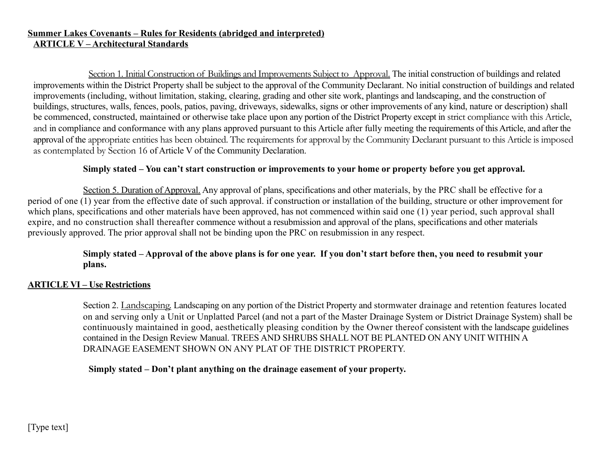#### **Summer Lakes Covenants – Rules for Residents (abridged and interpreted) ARTICLE V – Architectural Standards**

Section 1. Initial Construction of Buildings and Improvements Subject to Approval. The initial construction of buildings and related improvements within the District Property shall be subject to the approval of the Community Declarant. No initial construction of buildings and related improvements (including, without limitation, staking, clearing, grading and other site work, plantings and landscaping, and the construction of buildings, structures, walls, fences, pools, patios, paving, driveways, sidewalks, signs or other improvements of any kind, nature or description) shall be commenced, constructed, maintained or otherwise take place upon any portion of the District Property except in strict compliance with this Article, and in compliance and conformance with any plans approved pursuant to this Article after fully meeting the requirements of this Article, and after the approval of the appropriate entities has been obtained. The requirements for approval by the Community Declarant pursuant to this Article is imposed as contemplated by Section 16 of Article V of the Community Declaration.

#### **Simply stated – You can't start construction or improvements to your home or property before you get approval.**

Section 5. Duration of Approval. Any approval of plans, specifications and other materials, by the PRC shall be effective for a period of one (1) year from the effective date of such approval. if construction or installation of the building, structure or other improvement for which plans, specifications and other materials have been approved, has not commenced within said one (1) year period, such approval shall expire, and no construction shall thereafter commence without a resubmission and approval of the plans, specifications and other materials previously approved. The prior approval shall not be binding upon the PRC on resubmission in any respect.

## **Simply stated – Approval of the above plans is for one year. If you don't start before then, you need to resubmit your plans.**

## **ARTICLE VI – Use Restrictions**

Section 2. Landscaping. Landscaping on any portion of the District Property and stormwater drainage and retention features located on and serving only a Unit or Unplatted Parcel (and not a part of the Master Drainage System or District Drainage System) shall be continuously maintained in good, aesthetically pleasing condition by the Owner thereof consistent with the landscape guidelines contained in the Design Review Manual. TREES AND SHRUBS SHALL NOT BE PLANTED ON ANY UNIT WITHIN A DRAINAGE EASEMENT SHOWN ON ANY PLAT OF THE DISTRICT PROPERTY.

## **Simply stated – Don't plant anything on the drainage easement of your property.**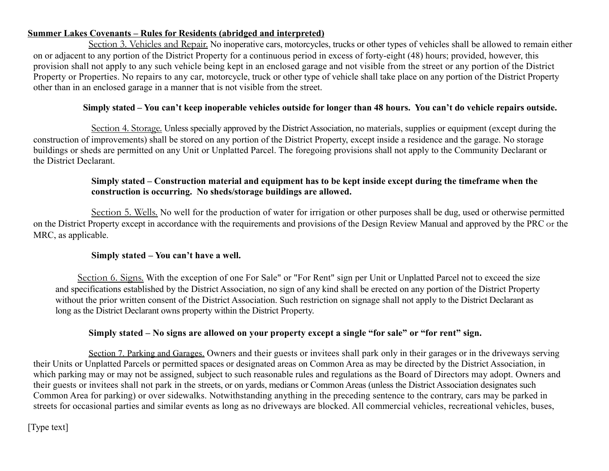Section 3. Vehicles and Repair. No inoperative cars, motorcycles, trucks or other types of vehicles shall be allowed to remain either on or adjacent to any portion of the District Property for a continuous period in excess of forty-eight (48) hours; provided, however, this provision shall not apply to any such vehicle being kept in an enclosed garage and not visible from the street or any portion of the District Property or Properties. No repairs to any car, motorcycle, truck or other type of vehicle shall take place on any portion of the District Property other than in an enclosed garage in a manner that is not visible from the street.

## **Simply stated – You can't keep inoperable vehicles outside for longer than 48 hours. You can't do vehicle repairs outside.**

Section 4. Storage. Unless specially approved by the District Association, no materials, supplies or equipment (except during the construction of improvements) shall be stored on any portion of the District Property, except inside a residence and the garage. No storage buildings or sheds are permitted on any Unit or Unplatted Parcel. The foregoing provisions shall not apply to the Community Declarant or the District Declarant.

## **Simply stated – Construction material and equipment has to be kept inside except during the timeframe when the construction is occurring. No sheds/storage buildings are allowed.**

Section 5. Wells. No well for the production of water for irrigation or other purposes shall be dug, used or otherwise permitted on the District Property except in accordance with the requirements and provisions of the Design Review Manual and approved by the PRC or the MRC, as applicable.

## **Simply stated – You can't have a well.**

Section 6. Signs. With the exception of one For Sale" or "For Rent" sign per Unit or Unplatted Parcel not to exceed the size and specifications established by the District Association, no sign of any kind shall be erected on any portion of the District Property without the prior written consent of the District Association. Such restriction on signage shall not apply to the District Declarant as long as the District Declarant owns property within the District Property.

## **Simply stated – No signs are allowed on your property except a single "for sale" or "for rent" sign.**

Section 7. Parking and Garages. Owners and their guests or invitees shall park only in their garages or in the driveways serving their Units or Unplatted Parcels or permitted spaces or designated areas on Common Area as may be directed by the District Association, in which parking may or may not be assigned, subject to such reasonable rules and regulations as the Board of Directors may adopt. Owners and their guests or invitees shall not park in the streets, or on yards, medians or Common Areas (unless the District Association designates such Common Area for parking) or over sidewalks. Notwithstanding anything in the preceding sentence to the contrary, cars may be parked in streets for occasional parties and similar events as long as no driveways are blocked. All commercial vehicles, recreational vehicles, buses,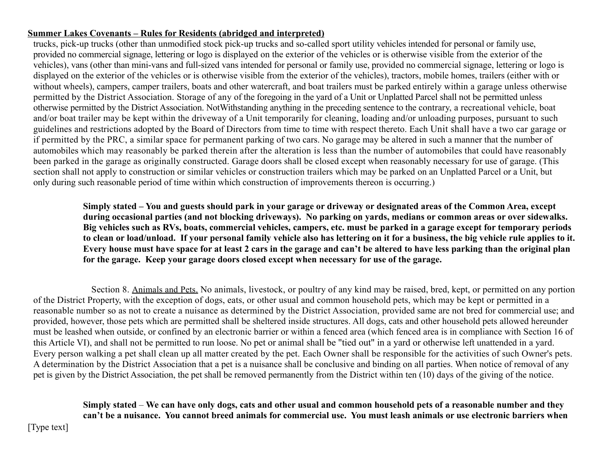trucks, pick-up trucks (other than unmodified stock pick-up trucks and so-called sport utility vehicles intended for personal or family use, provided no commercial signage, lettering or logo is displayed on the exterior of the vehicles or is otherwise visible from the exterior of the vehicles), vans (other than mini-vans and full-sized vans intended for personal or family use, provided no commercial signage, lettering or logo is displayed on the exterior of the vehicles or is otherwise visible from the exterior of the vehicles), tractors, mobile homes, trailers (either with or without wheels), campers, camper trailers, boats and other watercraft, and boat trailers must be parked entirely within a garage unless otherwise permitted by the District Association. Storage of any of the foregoing in the yard of a Unit or Unplatted Parcel shall not be permitted unless otherwise permitted by the District Association. NotWithstanding anything in the preceding sentence to the contrary, a recreational vehicle, boat and/or boat trailer may be kept within the driveway of a Unit temporarily for cleaning, loading and/or unloading purposes, pursuant to such guidelines and restrictions adopted by the Board of Directors from time to time with respect thereto. Each Unit shall have a two car garage or if permitted by the PRC, a similar space for permanent parking of two cars. No garage may be altered in such a manner that the number of automobiles which may reasonably be parked therein after the alteration is less than the number of automobiles that could have reasonably been parked in the garage as originally constructed. Garage doors shall be closed except when reasonably necessary for use of garage. (This section shall not apply to construction or similar vehicles or construction trailers which may be parked on an Unplatted Parcel or a Unit, but only during such reasonable period of time within which construction of improvements thereon is occurring.)

**Simply stated – You and guests should park in your garage or driveway or designated areas of the Common Area, except during occasional parties (and not blocking driveways). No parking on yards, medians or common areas or over sidewalks. Big vehicles such as RVs, boats, commercial vehicles, campers, etc. must be parked in a garage except for temporary periods to clean or load/unload. If your personal family vehicle also has lettering on it for a business, the big vehicle rule applies to it. Every house must have space for at least 2 cars in the garage and can't be altered to have less parking than the original plan for the garage. Keep your garage doors closed except when necessary for use of the garage.**

Section 8. Animals and Pets. No animals, livestock, or poultry of any kind may be raised, bred, kept, or permitted on any portion of the District Property, with the exception of dogs, eats, or other usual and common household pets, which may be kept or permitted in a reasonable number so as not to create a nuisance as determined by the District Association, provided same are not bred for commercial use; and provided, however, those pets which are permitted shall be sheltered inside structures. All dogs, cats and other household pets allowed hereunder must be leashed when outside, or confined by an electronic barrier or within a fenced area (which fenced area is in compliance with Section 16 of this Article VI), and shall not be permitted to run loose. No pet or animal shall be "tied out" in a yard or otherwise left unattended in a yard. Every person walking a pet shall clean up all matter created by the pet. Each Owner shall be responsible for the activities of such Owner's pets. A determination by the District Association that a pet is a nuisance shall be conclusive and binding on all parties. When notice of removal of any pet is given by the District Association, the pet shall be removed permanently from the District within ten (10) days of the giving of the notice.

**Simply stated** – **We can have only dogs, cats and other usual and common household pets of a reasonable number and they can't be a nuisance. You cannot breed animals for commercial use. You must leash animals or use electronic barriers when**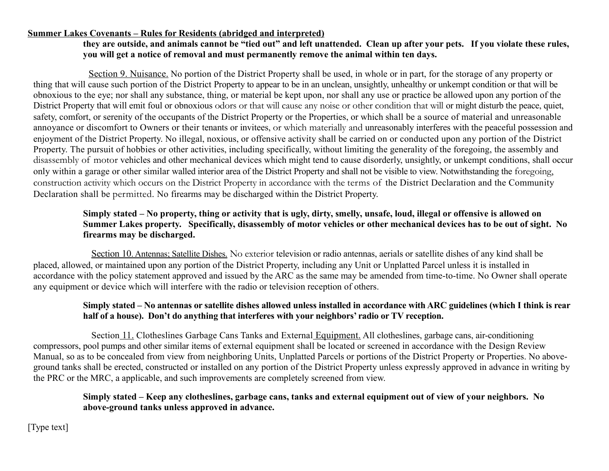## **they are outside, and animals cannot be "tied out" and left unattended. Clean up after your pets. If you violate these rules, you will get a notice of removal and must permanently remove the animal within ten days.**

Section 9. Nuisance. No portion of the District Property shall be used, in whole or in part, for the storage of any property or thing that will cause such portion of the District Property to appear to be in an unclean, unsightly, unhealthy or unkempt condition or that will be obnoxious to the eye; nor shall any substance, thing, or material be kept upon, nor shall any use or practice be allowed upon any portion of the District Property that will emit foul or obnoxious odors or that will cause any noise or other condition that will or might disturb the peace, quiet, safety, comfort, or serenity of the occupants of the District Property or the Properties, or which shall be a source of material and unreasonable annoyance or discomfort to Owners or their tenants or invitees, or which materially and unreasonably interferes with the peaceful possession and enjoyment of the District Property. No illegal, noxious, or offensive activity shall be carried on or conducted upon any portion of the District Property. The pursuit of hobbies or other activities, including specifically, without limiting the generality of the foregoing, the assembly and disassembly of motor vehicles and other mechanical devices which might tend to cause disorderly, unsightly, or unkempt conditions, shall occur only within a garage or other similar walled interior area of the District Property and shall not be visible to view. Notwithstanding the foregoing, construction activity which occurs on the District Property in accordance with the terms of the District Declaration and the Community Declaration shall be permitted. No firearms may be discharged within the District Property.

## **Simply stated – No property, thing or activity that is ugly, dirty, smelly, unsafe, loud, illegal or offensive is allowed on Summer Lakes property. Specifically, disassembly of motor vehicles or other mechanical devices has to be out of sight. No firearms may be discharged.**

Section 10. Antennas; Satellite Dishes. No exterior television or radio antennas, aerials or satellite dishes of any kind shall be placed, allowed, or maintained upon any portion of the District Property, including any Unit or Unplatted Parcel unless it is installed in accordance with the policy statement approved and issued by the ARC as the same may be amended from time-to-time. No Owner shall operate any equipment or device which will interfere with the radio or television reception of others.

## **Simply stated – No antennas or satellite dishes allowed unless installed in accordance with ARC guidelines (which I think is rear half of a house). Don't do anything that interferes with your neighbors' radio or TV reception.**

Section 11. Clotheslines Garbage Cans Tanks and External Equipment. All clotheslines, garbage cans, air-conditioning compressors, pool pumps and other similar items of external equipment shall be located or screened in accordance with the Design Review Manual, so as to be concealed from view from neighboring Units, Unplatted Parcels or portions of the District Property or Properties. No aboveground tanks shall be erected, constructed or installed on any portion of the District Property unless expressly approved in advance in writing by the PRC or the MRC, a applicable, and such improvements are completely screened from view.

## **Simply stated – Keep any clotheslines, garbage cans, tanks and external equipment out of view of your neighbors. No above-ground tanks unless approved in advance.**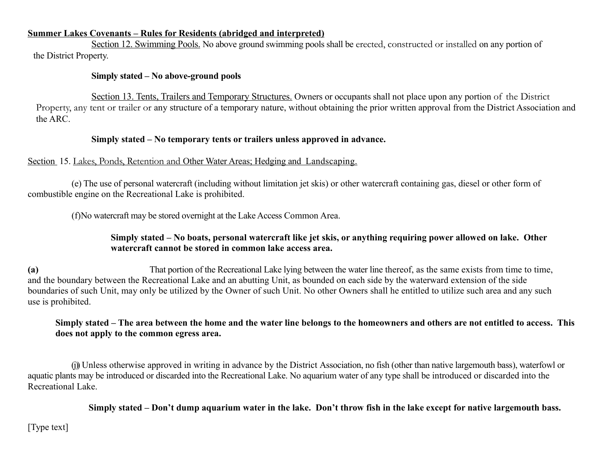Section 12. Swimming Pools. No above ground swimming pools shall be erected, constructed or installed on any portion of the District Property.

#### **Simply stated – No above-ground pools**

Section 13. Tents, Trailers and Temporary Structures. Owners or occupants shall not place upon any portion of the District Property, any tent or trailer or any structure of a temporary nature, without obtaining the prior written approval from the District Association and the ARC.

#### **Simply stated – No temporary tents or trailers unless approved in advance.**

#### Section 15. Lakes, Ponds, Retention and Other Water Areas; Hedging and Landscaping.

 (e) The use of personal watercraft (including without limitation jet skis) or other watercraft containing gas, diesel or other form of combustible engine on the Recreational Lake is prohibited.

(f)No watercraft may be stored overnight at the Lake Access Common Area.

## **Simply stated – No boats, personal watercraft like jet skis, or anything requiring power allowed on lake. Other watercraft cannot be stored in common lake access area.**

**(a)** That portion of the Recreational Lake lying between the water line thereof, as the same exists from time to time, and the boundary between the Recreational Lake and an abutting Unit, as bounded on each side by the waterward extension of the side boundaries of such Unit, may only be utilized by the Owner of such Unit. No other Owners shall he entitled to utilize such area and any such use is prohibited.

## **Simply stated – The area between the home and the water line belongs to the homeowners and others are not entitled to access. This does not apply to the common egress area.**

(i) Unless otherwise approved in writing in advance by the District Association, no fish (other than native largemouth bass), waterfowl or aquatic plants may be introduced or discarded into the Recreational Lake. No aquarium water of any type shall be introduced or discarded into the Recreational Lake.

**Simply stated – Don't dump aquarium water in the lake. Don't throw fish in the lake except for native largemouth bass.**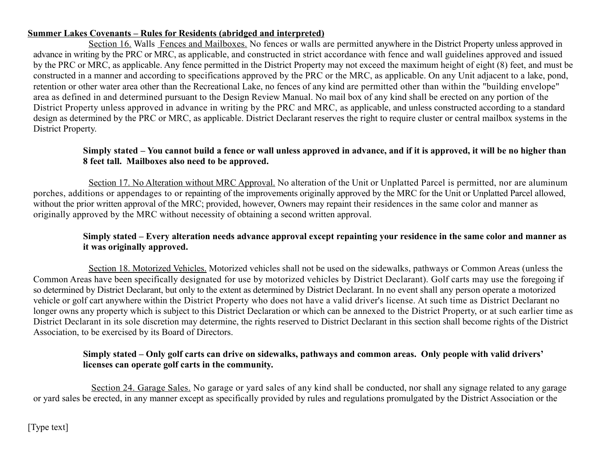Section 16. Walls Fences and Mailboxes. No fences or walls are permitted anywhere in the District Property unless approved in advance in writing by the PRC or MRC, as applicable, and constructed in strict accordance with fence and wall guidelines approved and issued by the PRC or MRC, as applicable. Any fence permitted in the District Property may not exceed the maximum height of eight (8) feet, and must be constructed in a manner and according to specifications approved by the PRC or the MRC, as applicable. On any Unit adjacent to a lake, pond, retention or other water area other than the Recreational Lake, no fences of any kind are permitted other than within the "building envelope" area as defined in and determined pursuant to the Design Review Manual. No mail box of any kind shall be erected on any portion of the District Property unless approved in advance in writing by the PRC and MRC, as applicable, and unless constructed according to a standard design as determined by the PRC or MRC, as applicable. District Declarant reserves the right to require cluster or central mailbox systems in the District Property.

## **Simply stated – You cannot build a fence or wall unless approved in advance, and if it is approved, it will be no higher than 8 feet tall. Mailboxes also need to be approved.**

Section 17. No Alteration without MRC Approval. No alteration of the Unit or Unplatted Parcel is permitted, nor are aluminum porches, additions or appendages to or repainting of the improvements originally approved by the MRC for the Unit or Unplatted Parcel allowed, without the prior written approval of the MRC; provided, however, Owners may repaint their residences in the same color and manner as originally approved by the MRC without necessity of obtaining a second written approval.

## **Simply stated – Every alteration needs advance approval except repainting your residence in the same color and manner as it was originally approved.**

Section 18. Motorized Vehicles. Motorized vehicles shall not be used on the sidewalks, pathways or Common Areas (unless the Common Areas have been specifically designated for use by motorized vehicles by District Declarant). Golf carts may use the foregoing if so determined by District Declarant, but only to the extent as determined by District Declarant. In no event shall any person operate a motorized vehicle or golf cart anywhere within the District Property who does not have a valid driver's license. At such time as District Declarant no longer owns any property which is subject to this District Declaration or which can be annexed to the District Property, or at such earlier time as District Declarant in its sole discretion may determine, the rights reserved to District Declarant in this section shall become rights of the District Association, to be exercised by its Board of Directors.

## **Simply stated – Only golf carts can drive on sidewalks, pathways and common areas. Only people with valid drivers' licenses can operate golf carts in the community.**

Section 24. Garage Sales. No garage or yard sales of any kind shall be conducted, nor shall any signage related to any garage or yard sales be erected, in any manner except as specifically provided by rules and regulations promulgated by the District Association or the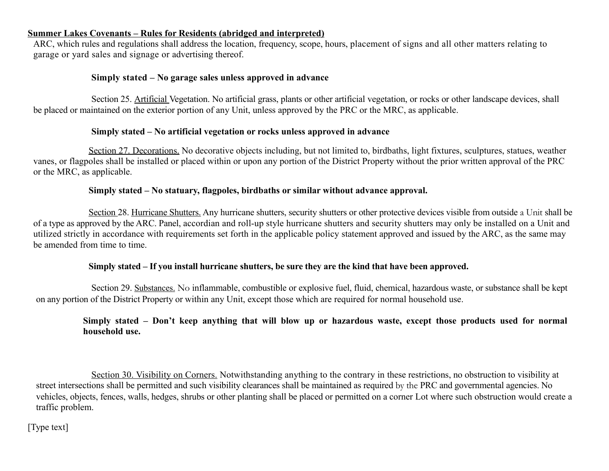ARC, which rules and regulations shall address the location, frequency, scope, hours, placement of signs and all other matters relating to garage or yard sales and signage or advertising thereof.

#### **Simply stated – No garage sales unless approved in advance**

Section 25. Artificial Vegetation. No artificial grass, plants or other artificial vegetation, or rocks or other landscape devices, shall be placed or maintained on the exterior portion of any Unit, unless approved by the PRC or the MRC, as applicable.

#### **Simply stated – No artificial vegetation or rocks unless approved in advance**

Section 27. Decorations. No decorative objects including, but not limited to, birdbaths, light fixtures, sculptures, statues, weather vanes, or flagpoles shall be installed or placed within or upon any portion of the District Property without the prior written approval of the PRC or the MRC, as applicable.

#### **Simply stated – No statuary, flagpoles, birdbaths or similar without advance approval.**

Section 28. Hurricane Shutters. Any hurricane shutters, security shutters or other protective devices visible from outside a Unit shall be of a type as approved by the ARC. Panel, accordian and roll-up style hurricane shutters and security shutters may only be installed on a Unit and utilized strictly in accordance with requirements set forth in the applicable policy statement approved and issued by the ARC, as the same may be amended from time to time.

#### **Simply stated – If you install hurricane shutters, be sure they are the kind that have been approved.**

Section 29. Substances. No inflammable, combustible or explosive fuel, fluid, chemical, hazardous waste, or substance shall be kept on any portion of the District Property or within any Unit, except those which are required for normal household use.

## **Simply stated – Don't keep anything that will blow up or hazardous waste, except those products used for normal household use.**

Section 30. Visibility on Corners. Notwithstanding anything to the contrary in these restrictions, no obstruction to visibility at street intersections shall be permitted and such visibility clearances shall be maintained as required by the PRC and governmental agencies. No vehicles, objects, fences, walls, hedges, shrubs or other planting shall be placed or permitted on a corner Lot where such obstruction would create a traffic problem.